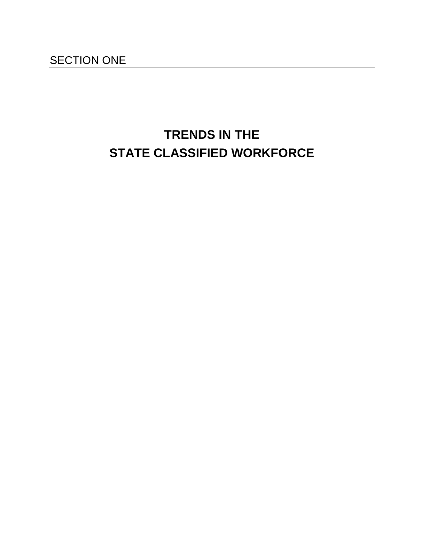# **TRENDS IN THE STATE CLASSIFIED WORKFORCE**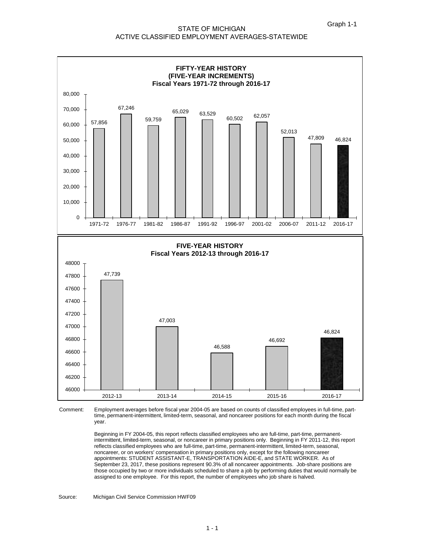#### STATE OF MICHIGAN ACTIVE CLASSIFIED EMPLOYMENT AVERAGES-STATEWIDE



Employment averages before fiscal year 2004-05 are based on counts of classified employees in full-time, parttime, permanent-intermittent, limited-term, seasonal, and noncareer positions for each month during the fiscal year. Comment:

> Beginning in FY 2004-05, this report reflects classified employees who are full-time, part-time, permanentintermittent, limited-term, seasonal, or noncareer in primary positions only. Beginning in FY 2011-12, this report reflects classified employees who are full-time, part-time, permanent-intermittent, limited-term, seasonal, noncareer, or on workers' compensation in primary positions only, except for the following noncareer appointments: STUDENT ASSISTANT-E, TRANSPORTATION AIDE-E, and STATE WORKER. As of September 23, 2017, these positions represent 90.3% of all noncareer appointments. Job-share positions are those occupied by two or more individuals scheduled to share a job by performing duties that would normally be assigned to one employee. For this report, the number of employees who job share is halved.

Michigan Civil Service Commission HWF09 Source: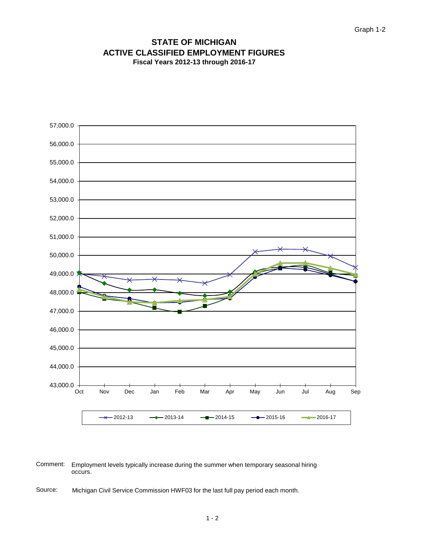#### **Fiscal Years 2012-13 through 2016-17 STATE OF MICHIGAN ACTIVE CLASSIFIED EMPLOYMENT FIGURES**



Comment: Employment levels typically increase during the summer when temporary seasonal hiring occurs.

Source: Michigan Civil Service Commission HWF03 for the last full pay period each month.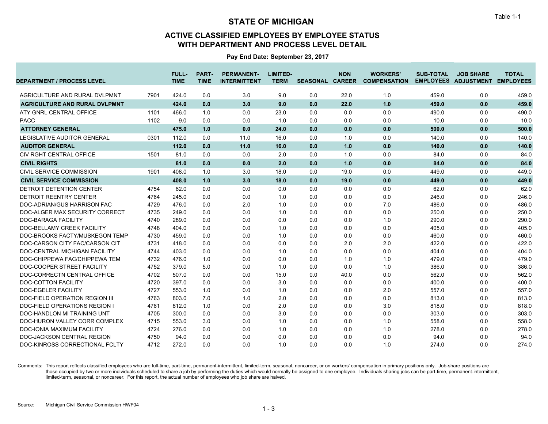### **ACTIVE CLASSIFIED EMPLOYEES BY EMPLOYEE STATUS WITH DEPARTMENT AND PROCESS LEVEL DETAIL**

**Pay End Date: September 23, 2017**

| <b>DEPARTMENT / PROCESS LEVEL</b>    |      | <b>FULL-</b><br><b>TIME</b> | <b>PART-</b><br><b>TIME</b> | <b>PERMANENT-</b><br><b>INTERMITTENT</b> | LIMITED-<br><b>TERM</b> | <b>SEASONAL CAREER</b> | <b>NON</b> | <b>WORKERS'</b><br><b>COMPENSATION</b> | <b>SUB-TOTAL</b> | <b>JOB SHARE</b><br>EMPLOYEES ADJUSTMENT EMPLOYEES | <b>TOTAL</b> |
|--------------------------------------|------|-----------------------------|-----------------------------|------------------------------------------|-------------------------|------------------------|------------|----------------------------------------|------------------|----------------------------------------------------|--------------|
|                                      |      |                             |                             |                                          |                         |                        |            |                                        |                  |                                                    |              |
| AGRICULTURE AND RURAL DVLPMNT        | 7901 | 424.0                       | 0.0                         | 3.0                                      | 9.0                     | 0.0                    | 22.0       | 1.0                                    | 459.0            | 0.0                                                | 459.0        |
| <b>AGRICULTURE AND RURAL DVLPMNT</b> |      | 424.0                       | 0.0                         | 3.0                                      | 9.0                     | 0.0                    | 22.0       | 1.0                                    | 459.0            | 0.0                                                | 459.0        |
| ATY GNRL CENTRAL OFFICE              | 1101 | 466.0                       | 1.0                         | 0.0                                      | 23.0                    | 0.0                    | 0.0        | 0.0                                    | 490.0            | 0.0                                                | 490.0        |
| <b>PACC</b>                          | 1102 | 9.0                         | 0.0                         | 0.0                                      | 1.0                     | 0.0                    | 0.0        | 0.0                                    | 10.0             | 0.0                                                | 10.0         |
| <b>ATTORNEY GENERAL</b>              |      | 475.0                       | 1.0                         | 0.0                                      | 24.0                    | 0.0                    | 0.0        | 0.0                                    | 500.0            | 0.0                                                | 500.0        |
| <b>LEGISLATIVE AUDITOR GENERAL</b>   | 0301 | 112.0                       | 0.0                         | 11.0                                     | 16.0                    | 0.0                    | 1.0        | 0.0                                    | 140.0            | 0.0                                                | 140.0        |
| <b>AUDITOR GENERAL</b>               |      | 112.0                       | 0.0                         | 11.0                                     | 16.0                    | 0.0                    | 1.0        | 0.0                                    | 140.0            | 0.0                                                | 140.0        |
| CIV RGHT CENTRAL OFFICE              | 1501 | 81.0                        | 0.0                         | 0.0                                      | 2.0                     | 0.0                    | 1.0        | 0.0                                    | 84.0             | 0.0                                                | 84.0         |
| <b>CIVIL RIGHTS</b>                  |      | 81.0                        | 0.0                         | 0.0                                      | 2.0                     | 0.0                    | 1.0        | 0.0                                    | 84.0             | 0.0                                                | 84.0         |
| CIVIL SERVICE COMMISSION             | 1901 | 408.0                       | 1.0                         | 3.0                                      | 18.0                    | 0.0                    | 19.0       | 0.0                                    | 449.0            | 0.0                                                | 449.0        |
| <b>CIVIL SERVICE COMMISSION</b>      |      | 408.0                       | 1.0                         | 3.0                                      | 18.0                    | 0.0                    | 19.0       | 0.0                                    | 449.0            | 0.0                                                | 449.0        |
| <b>DETROIT DETENTION CENTER</b>      | 4754 | 62.0                        | 0.0                         | 0.0                                      | 0.0                     | 0.0                    | 0.0        | 0.0                                    | 62.0             | 0.0                                                | 62.0         |
| <b>DETROIT REENTRY CENTER</b>        | 4764 | 245.0                       | 0.0                         | 0.0                                      | 1.0                     | 0.0                    | 0.0        | 0.0                                    | 246.0            | 0.0                                                | 246.0        |
| DOC-ADRIAN/GUS HARRISON FAC          | 4729 | 476.0                       | 0.0                         | 2.0                                      | 1.0                     | 0.0                    | 0.0        | 7.0                                    | 486.0            | 0.0                                                | 486.0        |
| DOC-ALGER MAX SECURITY CORRECT       | 4735 | 249.0                       | 0.0                         | 0.0                                      | 1.0                     | 0.0                    | 0.0        | 0.0                                    | 250.0            | 0.0                                                | 250.0        |
| <b>DOC-BARAGA FACILITY</b>           | 4740 | 289.0                       | 0.0                         | 0.0                                      | 0.0                     | 0.0                    | 0.0        | 1.0                                    | 290.0            | 0.0                                                | 290.0        |
| DOC-BELLAMY CREEK FACILITY           | 4748 | 404.0                       | 0.0                         | 0.0                                      | 1.0                     | 0.0                    | 0.0        | 0.0                                    | 405.0            | 0.0                                                | 405.0        |
| DOC-BROOKS FACTY/MUSKEGON TEMP       | 4730 | 459.0                       | 0.0                         | 0.0                                      | 1.0                     | 0.0                    | 0.0        | 0.0                                    | 460.0            | 0.0                                                | 460.0        |
| DOC-CARSON CITY FAC/CARSON CIT       | 4731 | 418.0                       | 0.0                         | 0.0                                      | 0.0                     | 0.0                    | 2.0        | 2.0                                    | 422.0            | 0.0                                                | 422.0        |
| DOC-CENTRAL MICHIGAN FACILITY        | 4744 | 403.0                       | 0.0                         | 0.0                                      | 1.0                     | 0.0                    | 0.0        | 0.0                                    | 404.0            | 0.0                                                | 404.0        |
| DOC-CHIPPEWA FAC/CHIPPEWA TEM        | 4732 | 476.0                       | 1.0                         | 0.0                                      | 0.0                     | 0.0                    | 1.0        | 1.0                                    | 479.0            | 0.0                                                | 479.0        |
| DOC-COOPER STREET FACILITY           | 4752 | 379.0                       | 5.0                         | 0.0                                      | 1.0                     | 0.0                    | 0.0        | 1.0                                    | 386.0            | 0.0                                                | 386.0        |
| DOC-CORRECTN CENTRAL OFFICE          | 4702 | 507.0                       | 0.0                         | 0.0                                      | 15.0                    | 0.0                    | 40.0       | 0.0                                    | 562.0            | 0.0                                                | 562.0        |
| <b>DOC-COTTON FACILITY</b>           | 4720 | 397.0                       | 0.0                         | 0.0                                      | 3.0                     | 0.0                    | 0.0        | 0.0                                    | 400.0            | 0.0                                                | 400.0        |
| <b>DOC-EGELER FACILITY</b>           | 4727 | 553.0                       | 1.0                         | 0.0                                      | 1.0                     | 0.0                    | 0.0        | 2.0                                    | 557.0            | 0.0                                                | 557.0        |
| DOC-FIELD OPERATION REGION III       | 4763 | 803.0                       | 7.0                         | 1.0                                      | 2.0                     | 0.0                    | 0.0        | 0.0                                    | 813.0            | 0.0                                                | 813.0        |
| <b>DOC-FIELD OPERATIONS REGION I</b> | 4761 | 812.0                       | 1.0                         | 0.0                                      | 2.0                     | 0.0                    | 0.0        | 3.0                                    | 818.0            | 0.0                                                | 818.0        |
| DOC-HANDLON MI TRAINING UNT          | 4705 | 300.0                       | 0.0                         | 0.0                                      | 3.0                     | 0.0                    | 0.0        | 0.0                                    | 303.0            | 0.0                                                | 303.0        |
| DOC-HURON VALLEY CORR COMPLEX        | 4715 | 553.0                       | 3.0                         | 0.0                                      | 1.0                     | 0.0                    | 0.0        | 1.0                                    | 558.0            | 0.0                                                | 558.0        |
| DOC-IONIA MAXIMUM FACILITY           | 4724 | 276.0                       | 0.0                         | 0.0                                      | 1.0                     | 0.0                    | 0.0        | 1.0                                    | 278.0            | 0.0                                                | 278.0        |
| DOC-JACKSON CENTRAL REGION           | 4750 | 94.0                        | 0.0                         | 0.0                                      | 0.0                     | 0.0                    | 0.0        | 0.0                                    | 94.0             | 0.0                                                | 94.0         |
| DOC-KINROSS CORRECTIONAL FCLTY       | 4712 | 272.0                       | 0.0                         | 0.0                                      | 1.0                     | 0.0                    | 0.0        | 1.0                                    | 274.0            | 0.0                                                | 274.0        |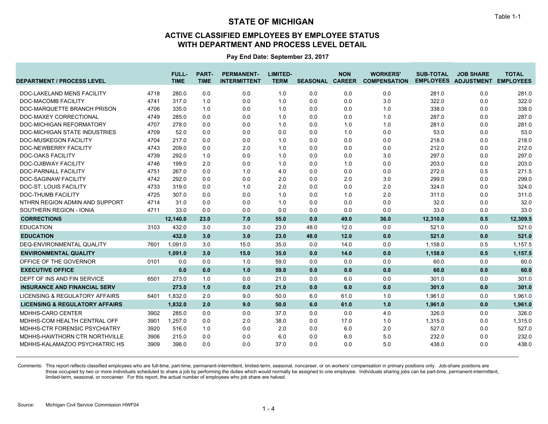### **ACTIVE CLASSIFIED EMPLOYEES BY EMPLOYEE STATUS WITH DEPARTMENT AND PROCESS LEVEL DETAIL**

**Pay End Date: September 23, 2017**

| <b>DEPARTMENT / PROCESS LEVEL</b>         |      | FULL-<br><b>TIME</b> | <b>PART-</b><br><b>TIME</b> | <b>PERMANENT-</b><br><b>INTERMITTENT</b> | <b>LIMITED-</b><br><b>TERM</b> | <b>SEASONAL CAREER</b> | <b>NON</b> | <b>WORKERS'</b><br><b>COMPENSATION</b> | <b>SUB-TOTAL</b> | <b>JOB SHARE</b><br>EMPLOYEES ADJUSTMENT EMPLOYEES | <b>TOTAL</b> |
|-------------------------------------------|------|----------------------|-----------------------------|------------------------------------------|--------------------------------|------------------------|------------|----------------------------------------|------------------|----------------------------------------------------|--------------|
| DOC-LAKELAND MENS FACILITY                | 4718 | 280.0                | 0.0                         | 0.0                                      | 1.0                            | 0.0                    | 0.0        | 0.0                                    | 281.0            | 0.0                                                | 281.0        |
| <b>DOC-MACOMB FACILITY</b>                | 4741 | 317.0                | 1.0                         | 0.0                                      | 1.0                            | 0.0                    | 0.0        | 3.0                                    | 322.0            | 0.0                                                | 322.0        |
| DOC-MARQUETTE BRANCH PRISON               | 4706 | 335.0                | 1.0                         | 0.0                                      | 1.0                            | 0.0                    | 0.0        | 1.0                                    | 338.0            | 0.0                                                | 338.0        |
| DOC-MAXEY CORRECTIONAL                    | 4749 | 285.0                | 0.0                         | 0.0                                      | 1.0                            | 0.0                    | 0.0        | 1.0                                    | 287.0            | 0.0                                                | 287.0        |
| DOC-MICHIGAN REFORMATORY                  | 4707 | 278.0                | 0.0                         | 0.0                                      | 1.0                            | 0.0                    | 1.0        | 1.0                                    | 281.0            | 0.0                                                | 281.0        |
| <b>DOC-MICHIGAN STATE INDUSTRIES</b>      | 4709 | 52.0                 | 0.0                         | 0.0                                      | 0.0                            | 0.0                    | 1.0        | 0.0                                    | 53.0             | 0.0                                                | 53.0         |
| <b>DOC-MUSKEGON FACILITY</b>              | 4704 | 217.0                | 0.0                         | 0.0                                      | 1.0                            | 0.0                    | 0.0        | 0.0                                    | 218.0            | 0.0                                                | 218.0        |
| DOC-NEWBERRY FACILITY                     | 4743 | 209.0                | 0.0                         | 2.0                                      | 1.0                            | 0.0                    | 0.0        | 0.0                                    | 212.0            | 0.0                                                | 212.0        |
| <b>DOC-OAKS FACILITY</b>                  | 4739 | 292.0                | 1.0                         | 0.0                                      | 1.0                            | 0.0                    | 0.0        | 3.0                                    | 297.0            | 0.0                                                | 297.0        |
| <b>DOC-OJIBWAY FACILITY</b>               | 4746 | 199.0                | 2.0                         | 0.0                                      | 1.0                            | 0.0                    | 1.0        | 0.0                                    | 203.0            | 0.0                                                | 203.0        |
| <b>DOC-PARNALL FACILITY</b>               | 4751 | 267.0                | 0.0                         | 1.0                                      | 4.0                            | 0.0                    | 0.0        | 0.0                                    | 272.0            | 0.5                                                | 271.5        |
| <b>DOC-SAGINAW FACILITY</b>               | 4742 | 292.0                | 0.0                         | 0.0                                      | 2.0                            | 0.0                    | 2.0        | 3.0                                    | 299.0            | 0.0                                                | 299.0        |
| <b>DOC-ST. LOUIS FACILITY</b>             | 4733 | 319.0                | 0.0                         | 1.0                                      | 2.0                            | 0.0                    | 0.0        | 2.0                                    | 324.0            | 0.0                                                | 324.0        |
| DOC-THUMB FACILITY                        | 4725 | 307.0                | 0.0                         | 0.0                                      | 1.0                            | 0.0                    | 1.0        | 2.0                                    | 311.0            | 0.0                                                | 311.0        |
| NTHRN REGION ADMIN AND SUPPORT            | 4714 | 31.0                 | 0.0                         | 0.0                                      | 1.0                            | 0.0                    | 0.0        | 0.0                                    | 32.0             | 0.0                                                | 32.0         |
| SOUTHERN REGION - IONIA                   | 4711 | 33.0                 | 0.0                         | 0.0                                      | 0.0                            | 0.0                    | 0.0        | 0.0                                    | 33.0             | 0.0                                                | 33.0         |
| <b>CORRECTIONS</b>                        |      | 12,140.0             | 23.0                        | 7.0                                      | 55.0                           | 0.0                    | 49.0       | 36.0                                   | 12,310.0         | 0.5                                                | 12,309.5     |
| <b>EDUCATION</b>                          | 3103 | 432.0                | 3.0                         | 3.0                                      | 23.0                           | 48.0                   | 12.0       | 0.0                                    | 521.0            | 0.0                                                | 521.0        |
| <b>EDUCATION</b>                          |      | 432.0                | 3.0                         | 3.0                                      | 23.0                           | 48.0                   | 12.0       | 0.0                                    | 521.0            | 0.0                                                | 521.0        |
| DEQ-ENVIRONMENTAL QUALITY                 | 7601 | 1.091.0              | 3.0                         | 15.0                                     | 35.0                           | 0.0                    | 14.0       | 0.0                                    | 1,158.0          | 0.5                                                | 1,157.5      |
| <b>ENVIRONMENTAL QUALITY</b>              |      | 1,091.0              | 3.0                         | 15.0                                     | 35.0                           | 0.0                    | 14.0       | 0.0                                    | 1,158.0          | 0.5                                                | 1,157.5      |
| OFFICE OF THE GOVERNOR                    | 0101 | 0.0                  | 0.0                         | 1.0                                      | 59.0                           | 0.0                    | 0.0        | 0.0                                    | 60.0             | 0.0                                                | 60.0         |
| <b>EXECUTIVE OFFICE</b>                   |      | 0.0                  | 0.0                         | 1.0                                      | 59.0                           | 0.0                    | 0.0        | 0.0                                    | 60.0             | 0.0                                                | 60.0         |
| DEPT OF INS AND FIN SERVICE               | 6501 | 273.0                | 1.0                         | 0.0                                      | 21.0                           | 0.0                    | 6.0        | 0.0                                    | 301.0            | 0.0                                                | 301.0        |
| <b>INSURANCE AND FINANCIAL SERV</b>       |      | 273.0                | 1.0                         | 0.0                                      | 21.0                           | 0.0                    | 6.0        | 0.0                                    | 301.0            | 0.0                                                | 301.0        |
| LICENSING & REGULATORY AFFAIRS            | 6401 | 1,832.0              | 2.0                         | 9.0                                      | 50.0                           | 6.0                    | 61.0       | 1.0                                    | 1,961.0          | 0.0                                                | 1,961.0      |
| <b>LICENSING &amp; REGULATORY AFFAIRS</b> |      | 1,832.0              | 2.0                         | 9.0                                      | 50.0                           | 6.0                    | 61.0       | 1.0                                    | 1,961.0          | 0.0                                                | 1,961.0      |
| MDHHS-CARO CENTER                         | 3902 | 285.0                | 0.0                         | 0.0                                      | 37.0                           | 0.0                    | 0.0        | 4.0                                    | 326.0            | 0.0                                                | 326.0        |
| MDHHS-COM HEALTH CENTRAL OFF              | 3901 | 1.257.0              | 0.0                         | 2.0                                      | 38.0                           | 0.0                    | 17.0       | 1.0                                    | 1.315.0          | 0.0                                                | 1,315.0      |
| MDHHS-CTR FORENSIC PSYCHIATRY             | 3920 | 516.0                | 1.0                         | 0.0                                      | 2.0                            | 0.0                    | 6.0        | 2.0                                    | 527.0            | 0.0                                                | 527.0        |
| MDHHS-HAWTHORN CTR NORTHVILLE             | 3906 | 215.0                | 0.0                         | 0.0                                      | 6.0                            | 0.0                    | 6.0        | 5.0                                    | 232.0            | 0.0                                                | 232.0        |
| MDHHS-KALAMAZOO PSYCHIATRIC HS            | 3909 | 396.0                | 0.0                         | 0.0                                      | 37.0                           | 0.0                    | 0.0        | 5.0                                    | 438.0            | 0.0                                                | 438.0        |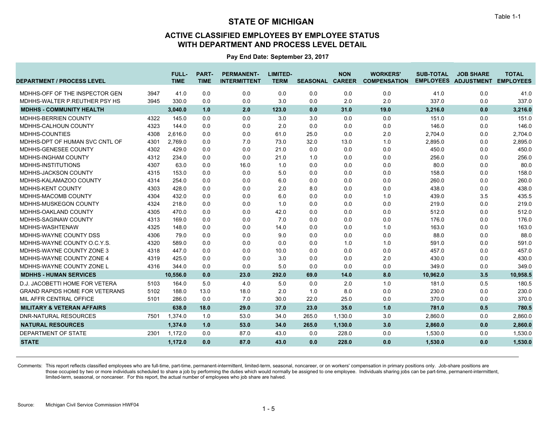### **ACTIVE CLASSIFIED EMPLOYEES BY EMPLOYEE STATUS WITH DEPARTMENT AND PROCESS LEVEL DETAIL**

**Pay End Date: September 23, 2017**

| <b>DEPARTMENT / PROCESS LEVEL</b>             | <b>FULL-</b><br><b>TIME</b> | <b>PART-</b><br><b>TIME</b> | <b>PERMANENT-</b><br><b>INTERMITTENT</b> | <b>LIMITED-</b><br><b>TERM</b> | <b>SEASONAL CAREER</b> | <b>NON</b> | <b>WORKERS'</b><br><b>COMPENSATION</b> | <b>SUB-TOTAL</b> | <b>JOB SHARE</b><br><b>EMPLOYEES ADJUSTMENT EMPLOYEES</b> | <b>TOTAL</b> |
|-----------------------------------------------|-----------------------------|-----------------------------|------------------------------------------|--------------------------------|------------------------|------------|----------------------------------------|------------------|-----------------------------------------------------------|--------------|
| MDHHS-OFF OF THE INSPECTOR GEN<br>3947        | 41.0                        | 0.0                         | 0.0                                      | 0.0                            | 0.0                    | 0.0        | 0.0                                    | 41.0             | 0.0                                                       | 41.0         |
| MDHHS-WALTER P.REUTHER PSY HS<br>3945         | 330.0                       | 0.0                         | 0.0                                      | 3.0                            | 0.0                    | 2.0        | 2.0                                    | 337.0            | 0.0                                                       | 337.0        |
| <b>MDHHS - COMMUNITY HEALTH</b>               | 3,040.0                     | 1.0                         | 2.0                                      | 123.0                          | 0.0                    | 31.0       | 19.0                                   | 3,216.0          | 0.0                                                       | 3,216.0      |
| MDHHS-BERRIEN COUNTY<br>4322                  | 145.0                       | 0.0                         | 0.0                                      | 3.0                            | 3.0                    | 0.0        | 0.0                                    | 151.0            | 0.0                                                       | 151.0        |
| 4323<br>MDHHS-CALHOUN COUNTY                  | 144.0                       | 0.0                         | 0.0                                      | 2.0                            | 0.0                    | 0.0        | 0.0                                    | 146.0            | 0.0                                                       | 146.0        |
| MDHHS-COUNTIES<br>4308                        | 2.616.0                     | 0.0                         | 0.0                                      | 61.0                           | 25.0                   | 0.0        | 2.0                                    | 2,704.0          | 0.0                                                       | 2,704.0      |
| MDHHS-DPT OF HUMAN SVC CNTL OF<br>4301        | 2.769.0                     | 0.0                         | 7.0                                      | 73.0                           | 32.0                   | 13.0       | 1.0                                    | 2,895.0          | 0.0                                                       | 2,895.0      |
| 4302<br>MDHHS-GENESEE COUNTY                  | 429.0                       | 0.0                         | 0.0                                      | 21.0                           | 0.0                    | 0.0        | 0.0                                    | 450.0            | 0.0                                                       | 450.0        |
| <b>MDHHS-INGHAM COUNTY</b><br>4312            | 234.0                       | 0.0                         | 0.0                                      | 21.0                           | 1.0                    | 0.0        | 0.0                                    | 256.0            | 0.0                                                       | 256.0        |
| MDHHS-INSTITUTIONS<br>4307                    | 63.0                        | 0.0                         | 16.0                                     | 1.0                            | 0.0                    | 0.0        | 0.0                                    | 80.0             | 0.0                                                       | 80.0         |
| MDHHS-JACKSON COUNTY<br>4315                  | 153.0                       | 0.0                         | 0.0                                      | 5.0                            | 0.0                    | 0.0        | 0.0                                    | 158.0            | 0.0                                                       | 158.0        |
| MDHHS-KALAMAZOO COUNTY<br>4314                | 254.0                       | 0.0                         | 0.0                                      | 6.0                            | 0.0                    | 0.0        | 0.0                                    | 260.0            | 0.0                                                       | 260.0        |
| MDHHS-KENT COUNTY<br>4303                     | 428.0                       | 0.0                         | 0.0                                      | 2.0                            | 8.0                    | 0.0        | 0.0                                    | 438.0            | 0.0                                                       | 438.0        |
| MDHHS-MACOMB COUNTY<br>4304                   | 432.0                       | 0.0                         | 0.0                                      | 6.0                            | 0.0                    | 0.0        | 1.0                                    | 439.0            | 3.5                                                       | 435.5        |
| MDHHS-MUSKEGON COUNTY<br>4324                 | 218.0                       | 0.0                         | 0.0                                      | 1.0                            | 0.0                    | 0.0        | 0.0                                    | 219.0            | 0.0                                                       | 219.0        |
| MDHHS-OAKLAND COUNTY<br>4305                  | 470.0                       | 0.0                         | 0.0                                      | 42.0                           | 0.0                    | 0.0        | 0.0                                    | 512.0            | 0.0                                                       | 512.0        |
| 4313<br>MDHHS-SAGINAW COUNTY                  | 169.0                       | 0.0                         | 0.0                                      | 7.0                            | 0.0                    | 0.0        | 0.0                                    | 176.0            | 0.0                                                       | 176.0        |
| MDHHS-WASHTENAW<br>4325                       | 148.0                       | 0.0                         | 0.0                                      | 14.0                           | 0.0                    | 0.0        | 1.0                                    | 163.0            | 0.0                                                       | 163.0        |
| MDHHS-WAYNE COUNTY DSS<br>4306                | 79.0                        | 0.0                         | 0.0                                      | 9.0                            | 0.0                    | 0.0        | 0.0                                    | 88.0             | 0.0                                                       | 88.0         |
| MDHHS-WAYNE COUNTY O.C.Y.S.<br>4320           | 589.0                       | 0.0                         | 0.0                                      | 0.0                            | 0.0                    | 1.0        | 1.0                                    | 591.0            | 0.0                                                       | 591.0        |
| MDHHS-WAYNE COUNTY ZONE 3<br>4318             | 447.0                       | 0.0                         | 0.0                                      | 10.0                           | 0.0                    | 0.0        | 0.0                                    | 457.0            | 0.0                                                       | 457.0        |
| MDHHS-WAYNE COUNTY ZONE 4<br>4319             | 425.0                       | 0.0                         | 0.0                                      | 3.0                            | 0.0                    | 0.0        | 2.0                                    | 430.0            | 0.0                                                       | 430.0        |
| MDHHS-WAYNE COUNTY ZONE L<br>4316             | 344.0                       | 0.0                         | 0.0                                      | 5.0                            | 0.0                    | 0.0        | 0.0                                    | 349.0            | 0.0                                                       | 349.0        |
| <b>MDHHS - HUMAN SERVICES</b>                 | 10,556.0                    | 0.0                         | 23.0                                     | 292.0                          | 69.0                   | 14.0       | 8.0                                    | 10,962.0         | 3.5                                                       | 10,958.5     |
| D.J. JACOBETTI HOME FOR VETERA<br>5103        | 164.0                       | 5.0                         | 4.0                                      | 5.0                            | 0.0                    | 2.0        | 1.0                                    | 181.0            | 0.5                                                       | 180.5        |
| <b>GRAND RAPIDS HOME FOR VETERANS</b><br>5102 | 188.0                       | 13.0                        | 18.0                                     | 2.0                            | 1.0                    | 8.0        | 0.0                                    | 230.0            | 0.0                                                       | 230.0        |
| MIL AFFR CENTRAL OFFICE<br>5101               | 286.0                       | 0.0                         | 7.0                                      | 30.0                           | 22.0                   | 25.0       | 0.0                                    | 370.0            | 0.0                                                       | 370.0        |
| <b>MILITARY &amp; VETERAN AFFAIRS</b>         | 638.0                       | 18.0                        | 29.0                                     | 37.0                           | 23.0                   | 35.0       | 1.0                                    | 781.0            | 0.5                                                       | 780.5        |
| <b>DNR-NATURAL RESOURCES</b><br>7501          | 1.374.0                     | 1.0                         | 53.0                                     | 34.0                           | 265.0                  | 1,130.0    | 3.0                                    | 2,860.0          | 0.0                                                       | 2,860.0      |
| <b>NATURAL RESOURCES</b>                      | 1,374.0                     | 1.0                         | 53.0                                     | 34.0                           | 265.0                  | 1,130.0    | 3.0                                    | 2,860.0          | 0.0                                                       | 2,860.0      |
| DEPARTMENT OF STATE<br>2301                   | 1,172.0                     | 0.0                         | 87.0                                     | 43.0                           | 0.0                    | 228.0      | 0.0                                    | 1,530.0          | 0.0                                                       | 1,530.0      |
| <b>STATE</b>                                  | 1.172.0                     | 0.0                         | 87.0                                     | 43.0                           | 0.0                    | 228.0      | 0.0                                    | 1,530.0          | 0.0                                                       | 1,530.0      |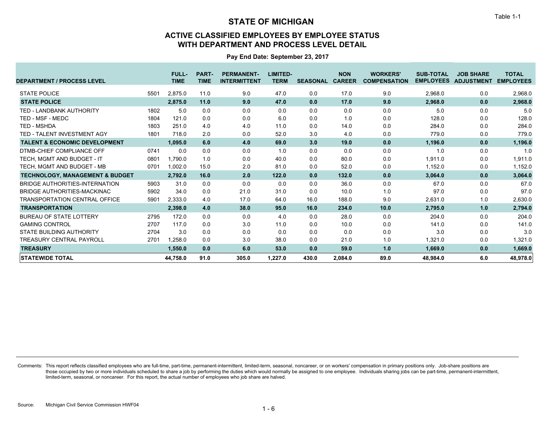### **ACTIVE CLASSIFIED EMPLOYEES BY EMPLOYEE STATUS WITH DEPARTMENT AND PROCESS LEVEL DETAIL**

**Pay End Date: September 23, 2017**

| <b>DEPARTMENT / PROCESS LEVEL</b>          |      | <b>FULL-</b><br><b>TIME</b> | <b>PART-</b><br><b>TIME</b> | <b>PERMANENT-</b><br><b>INTERMITTENT</b> | LIMITED-<br><b>TERM</b> | <b>SEASONAL</b> | <b>NON</b><br><b>CAREER</b> | <b>WORKERS'</b><br><b>COMPENSATION</b> | <b>SUB-TOTAL</b><br><b>EMPLOYEES</b> | <b>JOB SHARE</b><br><b>ADJUSTMENT</b> | <b>TOTAL</b><br><b>EMPLOYEES</b> |
|--------------------------------------------|------|-----------------------------|-----------------------------|------------------------------------------|-------------------------|-----------------|-----------------------------|----------------------------------------|--------------------------------------|---------------------------------------|----------------------------------|
| <b>STATE POLICE</b>                        | 5501 | 2,875.0                     | 11.0                        | 9.0                                      | 47.0                    | 0.0             | 17.0                        | 9.0                                    | 2,968.0                              | 0.0                                   | 2,968.0                          |
| <b>STATE POLICE</b>                        |      | 2,875.0                     | 11.0                        | 9.0                                      | 47.0                    | 0.0             | 17.0                        | 9.0                                    | 2,968.0                              | 0.0                                   | 2,968.0                          |
| TED - LANDBANK AUTHORITY                   | 1802 | 5.0                         | 0.0                         | 0.0                                      | 0.0                     | 0.0             | 0.0                         | 0.0                                    | 5.0                                  | 0.0                                   | 5.0                              |
| TED - MSF - MEDC                           | 1804 | 121.0                       | 0.0                         | 0.0                                      | 6.0                     | 0.0             | 1.0                         | 0.0                                    | 128.0                                | 0.0                                   | 128.0                            |
| <b>TED - MSHDA</b>                         | 1803 | 251.0                       | 4.0                         | 4.0                                      | 11.0                    | 0.0             | 14.0                        | 0.0                                    | 284.0                                | 0.0                                   | 284.0                            |
| TED - TALENT INVESTMENT AGY                | 1801 | 718.0                       | 2.0                         | 0.0                                      | 52.0                    | 3.0             | 4.0                         | 0.0                                    | 779.0                                | 0.0                                   | 779.0                            |
| <b>TALENT &amp; ECONOMIC DEVELOPMENT</b>   |      | 1,095.0                     | 6.0                         | 4.0                                      | 69.0                    | 3.0             | 19.0                        | 0.0                                    | 1,196.0                              | 0.0                                   | 1,196.0                          |
| DTMB-CHIEF COMPLIANCE OFF                  | 0741 | 0.0                         | 0.0                         | 0.0                                      | 1.0                     | 0.0             | 0.0                         | 0.0                                    | 1.0                                  | 0.0                                   | 1.0                              |
| TECH. MGMT AND BUDGET - IT                 | 0801 | 1.790.0                     | 1.0                         | 0.0                                      | 40.0                    | 0.0             | 80.0                        | 0.0                                    | 1,911.0                              | 0.0                                   | 1,911.0                          |
| TECH. MGMT AND BUDGET - MB                 | 0701 | 1,002.0                     | 15.0                        | 2.0                                      | 81.0                    | 0.0             | 52.0                        | 0.0                                    | 1,152.0                              | 0.0                                   | 1,152.0                          |
| <b>TECHNOLOGY, MANAGEMENT &amp; BUDGET</b> |      | 2,792.0                     | 16.0                        | 2.0                                      | 122.0                   | 0.0             | 132.0                       | 0.0                                    | 3,064.0                              | 0.0                                   | 3,064.0                          |
| BRIDGE AUTHORITIES-INTERNATION             | 5903 | 31.0                        | 0.0                         | 0.0                                      | 0.0                     | 0.0             | 36.0                        | 0.0                                    | 67.0                                 | 0.0                                   | 67.0                             |
| BRIDGE AUTHORITIES-MACKINAC                | 5902 | 34.0                        | 0.0                         | 21.0                                     | 31.0                    | 0.0             | 10.0                        | 1.0                                    | 97.0                                 | 0.0                                   | 97.0                             |
| <b>TRANSPORTATION CENTRAL OFFICE</b>       | 5901 | 2,333.0                     | 4.0                         | 17.0                                     | 64.0                    | 16.0            | 188.0                       | 9.0                                    | 2,631.0                              | 1.0                                   | 2,630.0                          |
| <b>TRANSPORTATION</b>                      |      | 2,398.0                     | 4.0                         | 38.0                                     | 95.0                    | 16.0            | 234.0                       | 10.0                                   | 2,795.0                              | 1.0                                   | 2,794.0                          |
| <b>BUREAU OF STATE LOTTERY</b>             | 2795 | 172.0                       | 0.0                         | 0.0                                      | 4.0                     | 0.0             | 28.0                        | 0.0                                    | 204.0                                | 0.0                                   | 204.0                            |
| <b>GAMING CONTROL</b>                      | 2707 | 117.0                       | 0.0                         | 3.0                                      | 11.0                    | 0.0             | 10.0                        | 0.0                                    | 141.0                                | 0.0                                   | 141.0                            |
| STATE BUILDING AUTHORITY                   | 2704 | 3.0                         | 0.0                         | 0.0                                      | 0.0                     | 0.0             | 0.0                         | 0.0                                    | 3.0                                  | 0.0                                   | 3.0                              |
| <b>TREASURY CENTRAL PAYROLL</b>            | 2701 | 1.258.0                     | 0.0                         | 3.0                                      | 38.0                    | 0.0             | 21.0                        | 1.0                                    | 1,321.0                              | 0.0                                   | 1,321.0                          |
| <b>TREASURY</b>                            |      | 1,550.0                     | 0.0                         | 6.0                                      | 53.0                    | 0.0             | 59.0                        | 1.0                                    | 1,669.0                              | 0.0                                   | 1,669.0                          |
| <b>STATEWIDE TOTAL</b>                     |      | 44,758.0                    | 91.0                        | 305.0                                    | 1.227.0                 | 430.0           | 2,084.0                     | 89.0                                   | 48,984.0                             | 6.0                                   | 48,978.0                         |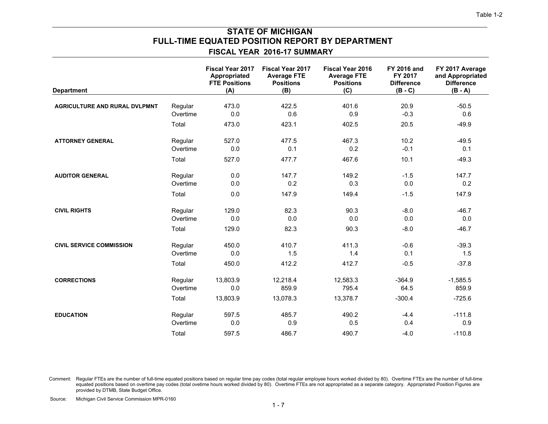### **FISCAL YEAR 2016-17 SUMMARY FULL-TIME EQUATED POSITION REPORT BY DEPARTMENT STATE OF MICHIGAN**

| <b>Department</b>                    |          | <b>Fiscal Year 2017</b><br>Appropriated<br><b>FTE Positions</b><br>(A) | <b>Fiscal Year 2017</b><br><b>Average FTE</b><br><b>Positions</b><br>(B) | <b>Fiscal Year 2016</b><br><b>Average FTE</b><br><b>Positions</b><br>(C) | <b>FY 2016 and</b><br>FY 2017<br><b>Difference</b><br>$(B - C)$ | FY 2017 Average<br>and Appropriated<br><b>Difference</b><br>$(B - A)$ |
|--------------------------------------|----------|------------------------------------------------------------------------|--------------------------------------------------------------------------|--------------------------------------------------------------------------|-----------------------------------------------------------------|-----------------------------------------------------------------------|
| <b>AGRICULTURE AND RURAL DVLPMNT</b> | Regular  | 473.0                                                                  | 422.5                                                                    | 401.6                                                                    | 20.9                                                            | $-50.5$                                                               |
|                                      | Overtime | 0.0                                                                    | 0.6                                                                      | 0.9                                                                      | $-0.3$                                                          | 0.6                                                                   |
|                                      | Total    | 473.0                                                                  | 423.1                                                                    | 402.5                                                                    | 20.5                                                            | $-49.9$                                                               |
| <b>ATTORNEY GENERAL</b>              | Regular  | 527.0                                                                  | 477.5                                                                    | 467.3                                                                    | 10.2                                                            | $-49.5$                                                               |
|                                      | Overtime | 0.0                                                                    | 0.1                                                                      | 0.2                                                                      | $-0.1$                                                          | 0.1                                                                   |
|                                      | Total    | 527.0                                                                  | 477.7                                                                    | 467.6                                                                    | 10.1                                                            | $-49.3$                                                               |
| <b>AUDITOR GENERAL</b>               | Regular  | 0.0                                                                    | 147.7                                                                    | 149.2                                                                    | $-1.5$                                                          | 147.7                                                                 |
|                                      | Overtime | 0.0                                                                    | 0.2                                                                      | 0.3                                                                      | 0.0                                                             | 0.2                                                                   |
|                                      | Total    | 0.0                                                                    | 147.9                                                                    | 149.4                                                                    | $-1.5$                                                          | 147.9                                                                 |
| <b>CIVIL RIGHTS</b>                  | Regular  | 129.0                                                                  | 82.3                                                                     | 90.3                                                                     | $-8.0$                                                          | $-46.7$                                                               |
|                                      | Overtime | 0.0                                                                    | 0.0                                                                      | 0.0                                                                      | 0.0                                                             | 0.0                                                                   |
|                                      | Total    | 129.0                                                                  | 82.3                                                                     | 90.3                                                                     | $-8.0$                                                          | $-46.7$                                                               |
| <b>CIVIL SERVICE COMMISSION</b>      | Regular  | 450.0                                                                  | 410.7                                                                    | 411.3                                                                    | $-0.6$                                                          | $-39.3$                                                               |
|                                      | Overtime | 0.0                                                                    | 1.5                                                                      | 1.4                                                                      | 0.1                                                             | 1.5                                                                   |
|                                      | Total    | 450.0                                                                  | 412.2                                                                    | 412.7                                                                    | $-0.5$                                                          | $-37.8$                                                               |
| <b>CORRECTIONS</b>                   | Regular  | 13,803.9                                                               | 12,218.4                                                                 | 12,583.3                                                                 | $-364.9$                                                        | $-1,585.5$                                                            |
|                                      | Overtime | 0.0                                                                    | 859.9                                                                    | 795.4                                                                    | 64.5                                                            | 859.9                                                                 |
|                                      | Total    | 13,803.9                                                               | 13,078.3                                                                 | 13,378.7                                                                 | $-300.4$                                                        | $-725.6$                                                              |
| <b>EDUCATION</b>                     | Regular  | 597.5                                                                  | 485.7                                                                    | 490.2                                                                    | $-4.4$                                                          | $-111.8$                                                              |
|                                      | Overtime | 0.0                                                                    | 0.9                                                                      | 0.5                                                                      | 0.4                                                             | 0.9                                                                   |
|                                      | Total    | 597.5                                                                  | 486.7                                                                    | 490.7                                                                    | $-4.0$                                                          | $-110.8$                                                              |

Comment: Regular FTEs are the number of full-time equated positions based on regular time pay codes (total regular employee hours worked divided by 80). Overtime FTEs are the number of full-time equated positions based on overtime pay codes (total ovetime hours worked divided by 80). Overtime FTEs are not appropriated as a separate category. Appropriated Position Figures are provided by DTMB, State Budget Office.

Michigan Civil Service Commission MPR-0160 Source:

Table 1-2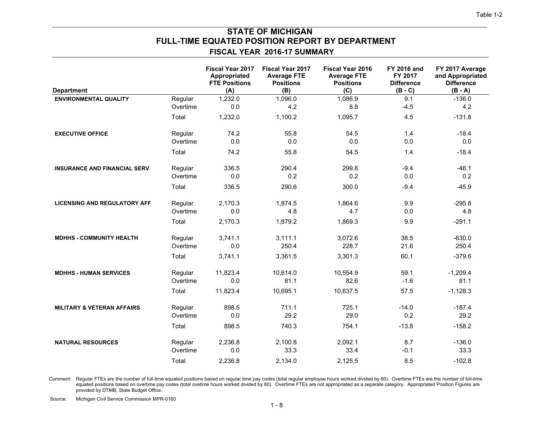### **FISCAL YEAR 2016-17 SUMMARY FULL-TIME EQUATED POSITION REPORT BY DEPARTMENT STATE OF MICHIGAN**

| <b>Department</b>                     |          | <b>Fiscal Year 2017</b><br>Appropriated<br><b>FTE Positions</b><br>(A) | <b>Fiscal Year 2017</b><br><b>Average FTE</b><br><b>Positions</b><br>(B) | <b>Fiscal Year 2016</b><br><b>Average FTE</b><br><b>Positions</b><br>(C) | <b>FY 2016 and</b><br>FY 2017<br><b>Difference</b><br>$(B - C)$ | FY 2017 Average<br>and Appropriated<br><b>Difference</b><br>$(B - A)$ |
|---------------------------------------|----------|------------------------------------------------------------------------|--------------------------------------------------------------------------|--------------------------------------------------------------------------|-----------------------------------------------------------------|-----------------------------------------------------------------------|
| <b>ENVIRONMENTAL QUALITY</b>          | Regular  | 1,232.0                                                                | 1,096.0                                                                  | 1,086.9                                                                  | 9.1                                                             | $-136.0$                                                              |
|                                       | Overtime | 0.0                                                                    | 4.2                                                                      | 8.8                                                                      | $-4.5$                                                          | 4.2                                                                   |
|                                       | Total    | 1,232.0                                                                | 1,100.2                                                                  | 1,095.7                                                                  | 4.5                                                             | $-131.8$                                                              |
| <b>EXECUTIVE OFFICE</b>               | Regular  | 74.2                                                                   | 55.8                                                                     | 54.5                                                                     | 1.4                                                             | $-18.4$                                                               |
|                                       | Overtime | 0.0                                                                    | 0.0                                                                      | 0.0                                                                      | 0.0                                                             | 0.0                                                                   |
|                                       | Total    | 74.2                                                                   | 55.8                                                                     | 54.5                                                                     | 1.4                                                             | $-18.4$                                                               |
| <b>INSURANCE AND FINANCIAL SERV</b>   | Regular  | 336.5                                                                  | 290.4                                                                    | 299.8                                                                    | $-9.4$                                                          | $-46.1$                                                               |
|                                       | Overtime | 0.0                                                                    | 0.2                                                                      | 0.2                                                                      | 0.0                                                             | 0.2                                                                   |
|                                       | Total    | 336.5                                                                  | 290.6                                                                    | 300.0                                                                    | $-9.4$                                                          | $-45.9$                                                               |
| <b>LICENSING AND REGULATORY AFF</b>   | Regular  | 2,170.3                                                                | 1.874.5                                                                  | 1,864.6                                                                  | 9.9                                                             | $-295.8$                                                              |
|                                       | Overtime | 0.0                                                                    | 4.8                                                                      | 4.7                                                                      | 0.0                                                             | 4.8                                                                   |
|                                       | Total    | 2,170.3                                                                | 1,879.2                                                                  | 1,869.3                                                                  | 9.9                                                             | $-291.1$                                                              |
| <b>MDHHS - COMMUNITY HEALTH</b>       | Regular  | 3,741.1                                                                | 3.111.1                                                                  | 3,072.6                                                                  | 38.5                                                            | $-630.0$                                                              |
|                                       | Overtime | 0.0                                                                    | 250.4                                                                    | 228.7                                                                    | 21.6                                                            | 250.4                                                                 |
|                                       | Total    | 3,741.1                                                                | 3,361.5                                                                  | 3,301.3                                                                  | 60.1                                                            | $-379.6$                                                              |
| <b>MDHHS - HUMAN SERVICES</b>         | Regular  | 11,823.4                                                               | 10,614.0                                                                 | 10,554.9                                                                 | 59.1                                                            | $-1,209.4$                                                            |
|                                       | Overtime | 0.0                                                                    | 81.1                                                                     | 82.6                                                                     | $-1.6$                                                          | 81.1                                                                  |
|                                       | Total    | 11,823.4                                                               | 10,695.1                                                                 | 10,637.5                                                                 | 57.5                                                            | $-1,128.3$                                                            |
| <b>MILITARY &amp; VETERAN AFFAIRS</b> | Regular  | 898.5                                                                  | 711.1                                                                    | 725.1                                                                    | $-14.0$                                                         | $-187.4$                                                              |
|                                       | Overtime | 0.0                                                                    | 29.2                                                                     | 29.0                                                                     | 0.2                                                             | 29.2                                                                  |
|                                       | Total    | 898.5                                                                  | 740.3                                                                    | 754.1                                                                    | $-13.8$                                                         | $-158.2$                                                              |
| <b>NATURAL RESOURCES</b>              | Regular  | 2.236.8                                                                | 2,100.8                                                                  | 2,092.1                                                                  | 8.7                                                             | $-136.0$                                                              |
|                                       | Overtime | 0.0                                                                    | 33.3                                                                     | 33.4                                                                     | $-0.1$                                                          | 33.3                                                                  |
|                                       | Total    | 2,236.8                                                                | 2,134.0                                                                  | 2,125.5                                                                  | 8.5                                                             | $-102.8$                                                              |

Comment: Regular FTEs are the number of full-time equated positions based on regular time pay codes (total regular employee hours worked divided by 80). Overtime FTEs are the number of full-time equated positions based on overtime pay codes (total ovetime hours worked divided by 80). Overtime FTEs are not appropriated as a separate category. Appropriated Position Figures are provided by DTMB, State Budget Office.

Michigan Civil Service Commission MPR-0160 Source: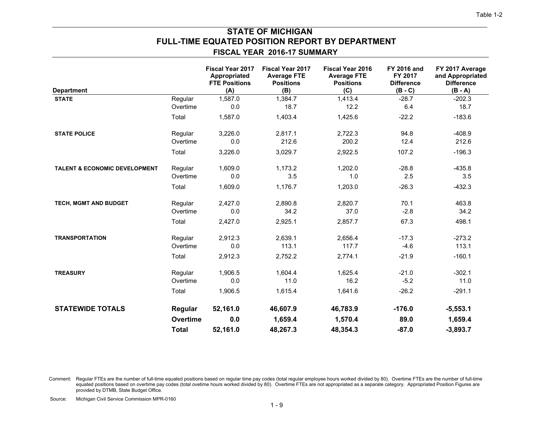# **FULL-TIME EQUATED POSITION REPORT BY DEPARTMENT STATE OF MICHIGAN**

#### **FISCAL YEAR 2016-17 SUMMARY**

| <b>Department</b>                        |              | Fiscal Year 2017<br>Appropriated<br><b>FTE Positions</b><br>(A) | Fiscal Year 2017<br><b>Average FTE</b><br><b>Positions</b><br>(B) | <b>Fiscal Year 2016</b><br><b>Average FTE</b><br><b>Positions</b><br>(C) | <b>FY 2016 and</b><br>FY 2017<br><b>Difference</b><br>$(B - C)$ | FY 2017 Average<br>and Appropriated<br><b>Difference</b><br>$(B - A)$ |
|------------------------------------------|--------------|-----------------------------------------------------------------|-------------------------------------------------------------------|--------------------------------------------------------------------------|-----------------------------------------------------------------|-----------------------------------------------------------------------|
| <b>STATE</b>                             | Regular      | 1,587.0                                                         | 1,384.7                                                           | 1,413.4                                                                  | $-28.7$                                                         | $-202.3$                                                              |
|                                          | Overtime     | 0.0                                                             | 18.7                                                              | 12.2                                                                     | 6.4                                                             | 18.7                                                                  |
|                                          | Total        | 1,587.0                                                         | 1,403.4                                                           | 1,425.6                                                                  | $-22.2$                                                         | $-183.6$                                                              |
| <b>STATE POLICE</b>                      | Regular      | 3,226.0                                                         | 2,817.1                                                           | 2,722.3                                                                  | 94.8                                                            | $-408.9$                                                              |
|                                          | Overtime     | 0.0                                                             | 212.6                                                             | 200.2                                                                    | 12.4                                                            | 212.6                                                                 |
|                                          | Total        | 3,226.0                                                         | 3,029.7                                                           | 2,922.5                                                                  | 107.2                                                           | $-196.3$                                                              |
| <b>TALENT &amp; ECONOMIC DEVELOPMENT</b> | Regular      | 1,609.0                                                         | 1,173.2                                                           | 1,202.0                                                                  | $-28.8$                                                         | $-435.8$                                                              |
|                                          | Overtime     | 0.0                                                             | 3.5                                                               | 1.0                                                                      | 2.5                                                             | 3.5                                                                   |
|                                          | Total        | 1,609.0                                                         | 1,176.7                                                           | 1,203.0                                                                  | $-26.3$                                                         | $-432.3$                                                              |
| TECH, MGMT AND BUDGET                    | Regular      | 2,427.0                                                         | 2,890.8                                                           | 2,820.7                                                                  | 70.1                                                            | 463.8                                                                 |
|                                          | Overtime     | 0.0                                                             | 34.2                                                              | 37.0                                                                     | $-2.8$                                                          | 34.2                                                                  |
|                                          | Total        | 2,427.0                                                         | 2,925.1                                                           | 2,857.7                                                                  | 67.3                                                            | 498.1                                                                 |
| <b>TRANSPORTATION</b>                    | Regular      | 2,912.3                                                         | 2,639.1                                                           | 2,656.4                                                                  | $-17.3$                                                         | $-273.2$                                                              |
|                                          | Overtime     | 0.0                                                             | 113.1                                                             | 117.7                                                                    | $-4.6$                                                          | 113.1                                                                 |
|                                          | Total        | 2,912.3                                                         | 2,752.2                                                           | 2,774.1                                                                  | $-21.9$                                                         | $-160.1$                                                              |
| <b>TREASURY</b>                          | Regular      | 1,906.5                                                         | 1,604.4                                                           | 1,625.4                                                                  | $-21.0$                                                         | $-302.1$                                                              |
|                                          | Overtime     | 0.0                                                             | 11.0                                                              | 16.2                                                                     | $-5.2$                                                          | 11.0                                                                  |
|                                          | Total        | 1,906.5                                                         | 1,615.4                                                           | 1,641.6                                                                  | $-26.2$                                                         | $-291.1$                                                              |
| <b>STATEWIDE TOTALS</b>                  | Regular      | 52,161.0                                                        | 46,607.9                                                          | 46,783.9                                                                 | $-176.0$                                                        | $-5,553.1$                                                            |
|                                          | Overtime     | 0.0                                                             | 1,659.4                                                           | 1,570.4                                                                  | 89.0                                                            | 1,659.4                                                               |
|                                          | <b>Total</b> | 52,161.0                                                        | 48,267.3                                                          | 48,354.3                                                                 | $-87.0$                                                         | $-3,893.7$                                                            |

Comment: Regular FTEs are the number of full-time equated positions based on regular time pay codes (total regular employee hours worked divided by 80). Overtime FTEs are the number of full-time equated positions based on overtime pay codes (total ovetime hours worked divided by 80). Overtime FTEs are not appropriated as a separate category. Appropriated Position Figures are provided by DTMB, State Budget Office.

Source: Michigan Civil Service Commission MPR-0160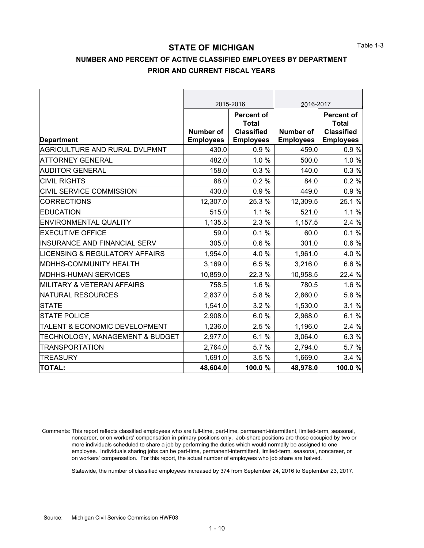## **NUMBER AND PERCENT OF ACTIVE CLASSIFIED EMPLOYEES BY DEPARTMENT PRIOR AND CURRENT FISCAL YEARS**

|                                           |                  | 2015-2016                         | 2016-2017        |                                   |  |
|-------------------------------------------|------------------|-----------------------------------|------------------|-----------------------------------|--|
|                                           |                  | <b>Percent of</b>                 |                  | <b>Percent of</b>                 |  |
|                                           | <b>Number of</b> | <b>Total</b><br><b>Classified</b> | <b>Number of</b> | <b>Total</b><br><b>Classified</b> |  |
| <b>Department</b>                         | <b>Employees</b> | <b>Employees</b>                  | <b>Employees</b> | <b>Employees</b>                  |  |
| AGRICULTURE AND RURAL DVLPMNT             | 430.0            | 0.9%                              | 459.0            | 0.9%                              |  |
| <b>ATTORNEY GENERAL</b>                   | 482.0            | 1.0%                              | 500.0            | 1.0%                              |  |
| <b>AUDITOR GENERAL</b>                    | 158.0            | 0.3%                              | 140.0            | 0.3%                              |  |
| <b>CIVIL RIGHTS</b>                       | 88.0             | 0.2%                              | 84.0             | 0.2%                              |  |
| CIVIL SERVICE COMMISSION                  | 430.0            | 0.9%                              | 449.0            | 0.9%                              |  |
| <b>CORRECTIONS</b>                        | 12,307.0         | 25.3 %                            | 12,309.5         | 25.1 %                            |  |
| <b>EDUCATION</b>                          | 515.0            | 1.1%                              | 521.0            | 1.1%                              |  |
| <b>ENVIRONMENTAL QUALITY</b>              | 1,135.5          | 2.3%                              | 1,157.5          | 2.4 %                             |  |
| <b>EXECUTIVE OFFICE</b>                   | 59.0             | 0.1%                              | 60.0             | 0.1%                              |  |
| <b>INSURANCE AND FINANCIAL SERV</b>       | 305.0            | 0.6%                              | 301.0            | 0.6%                              |  |
| <b>LICENSING &amp; REGULATORY AFFAIRS</b> | 1,954.0          | 4.0%                              | 1,961.0          | 4.0%                              |  |
| MDHHS-COMMUNITY HEALTH                    | 3,169.0          | 6.5%                              | 3,216.0          | 6.6%                              |  |
| <b>MDHHS-HUMAN SERVICES</b>               | 10,859.0         | 22.3 %                            | 10,958.5         | 22.4 %                            |  |
| <b>MILITARY &amp; VETERAN AFFAIRS</b>     | 758.5            | 1.6 %                             | 780.5            | 1.6%                              |  |
| <b>NATURAL RESOURCES</b>                  | 2,837.0          | 5.8%                              | 2,860.0          | 5.8%                              |  |
| <b>STATE</b>                              | 1,541.0          | 3.2%                              | 1,530.0          | 3.1%                              |  |
| <b>STATE POLICE</b>                       | 2,908.0          | 6.0%                              | 2,968.0          | 6.1%                              |  |
| TALENT & ECONOMIC DEVELOPMENT             | 1,236.0          | 2.5%                              | 1,196.0          | 2.4%                              |  |
| TECHNOLOGY, MANAGEMENT & BUDGET           | 2,977.0          | 6.1%                              | 3,064.0          | 6.3%                              |  |
| <b>TRANSPORTATION</b>                     | 2,764.0          | 5.7 %                             | 2,794.0          | 5.7%                              |  |
| <b>TREASURY</b>                           | 1,691.0          | 3.5%                              | 1,669.0          | 3.4 %                             |  |
| <b>TOTAL:</b>                             | 48,604.0         | 100.0%                            | 48,978.0         | 100.0%                            |  |

Comments: This report reflects classified employees who are full-time, part-time, permanent-intermittent, limited-term, seasonal, noncareer, or on workers' compensation in primary positions only. Job-share positions are those occupied by two or more individuals scheduled to share a job by performing the duties which would normally be assigned to one employee. Individuals sharing jobs can be part-time, permanent-intermittent, limited-term, seasonal, noncareer, or on workers' compensation. For this report, the actual number of employees who job share are halved.

Statewide, the number of classified employees increased by 374 from September 24, 2016 to September 23, 2017.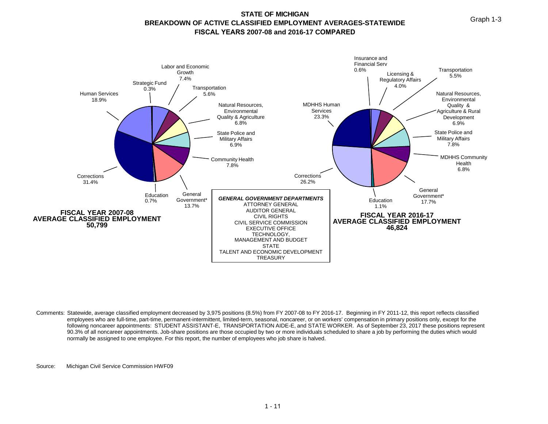Graph 1-3

#### **STATE OF MICHIGAN BREAKDOWN OF ACTIVE CLASSIFIED EMPLOYMENT AVERAGES-STATEWIDE FISCAL YEARS 2007-08 and 2016-17 COMPARED**



Comments: Statewide, average classified employment decreased by 3,975 positions (8.5%) from FY 2007-08 to FY 2016-17. Beginning in FY 2011-12, this report reflects classified employees who are full-time, part-time, permanent-intermittent, limited-term, seasonal, noncareer, or on workers' compensation in primary positions only, except for the following noncareer appointments: STUDENT ASSISTANT-E, TRANSPORTATION AIDE-E, and STATE WORKER. As of September 23, 2017 these positions represent 90.3% of all noncareer appointments. Job-share positions are those occupied by two or more individuals scheduled to share a job by performing the duties which would normally be assigned to one employee. For this report, the number of employees who job share is halved.

Source: Michigan Civil Service Commission HWF09